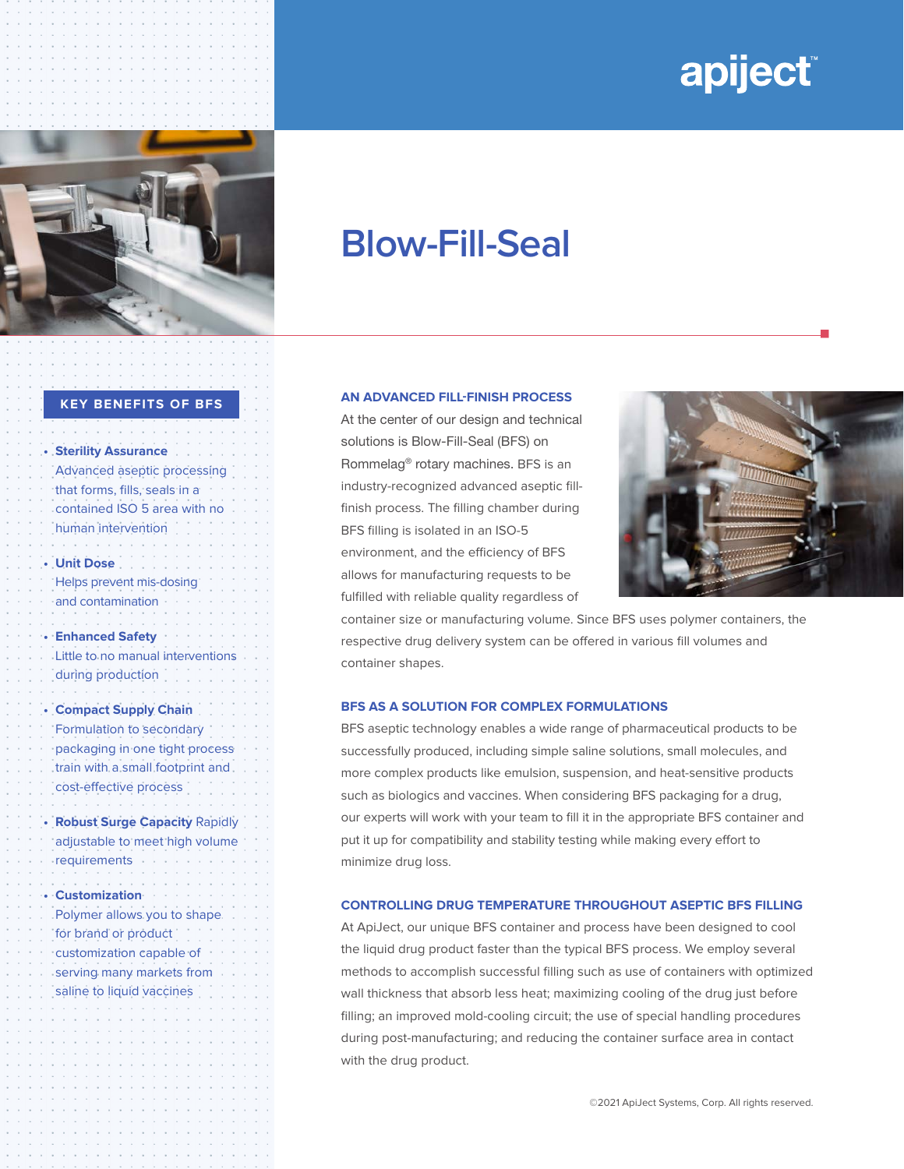# apiject



## **Blow-Fill-Seal**

#### **KEY BENEFITS OF BFS**

**• Sterility Assurance** Advanced aseptic processing that forms, fills, seals in a contained ISO 5 area with no human intervention

**• Unit Dose**  Helps prevent mis-dosing and contamination

**• Enhanced Safety** Little to no manual interventions during production

**• Compact Supply Chain** Formulation to secondary packaging in one tight process train with a small footprint and cost-effective process

**• Robust Surge Capacity** Rapidly adjustable to meet high volume requirements

**• Customization** 

Polymer allows you to shape for brand or product customization capable of serving many markets from saline to liquid vaccines

**AN ADVANCED FILL-FINISH PROCESS**

At the center of our design and technical solutions is Blow-Fill-Seal (BFS) on Rommelag® rotary machines. BFS is an industry-recognized advanced aseptic fillfinish process. The filling chamber during BFS filling is isolated in an ISO-5 environment, and the efficiency of BFS allows for manufacturing requests to be fulfilled with reliable quality regardless of



n

container size or manufacturing volume. Since BFS uses polymer containers, the respective drug delivery system can be offered in various fill volumes and container shapes.

#### **BFS AS A SOLUTION FOR COMPLEX FORMULATIONS**

BFS aseptic technology enables a wide range of pharmaceutical products to be successfully produced, including simple saline solutions, small molecules, and more complex products like emulsion, suspension, and heat-sensitive products such as biologics and vaccines. When considering BFS packaging for a drug, our experts will work with your team to fill it in the appropriate BFS container and put it up for compatibility and stability testing while making every effort to minimize drug loss.

#### **CONTROLLING DRUG TEMPERATURE THROUGHOUT ASEPTIC BFS FILLING**

At ApiJect, our unique BFS container and process have been designed to cool the liquid drug product faster than the typical BFS process. We employ several methods to accomplish successful filling such as use of containers with optimized wall thickness that absorb less heat; maximizing cooling of the drug just before filling; an improved mold-cooling circuit; the use of special handling procedures during post-manufacturing; and reducing the container surface area in contact with the drug product.